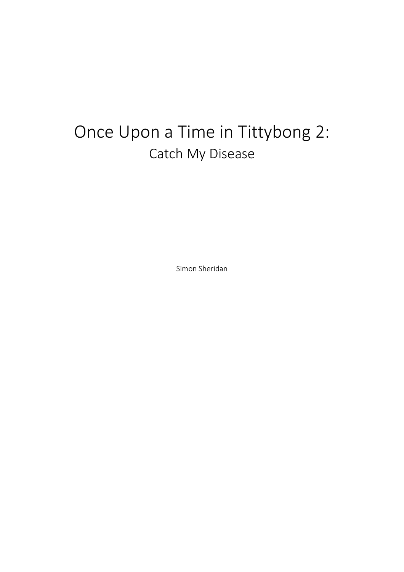## Once Upon a Time in Tittybong 2: Catch My Disease

Simon Sheridan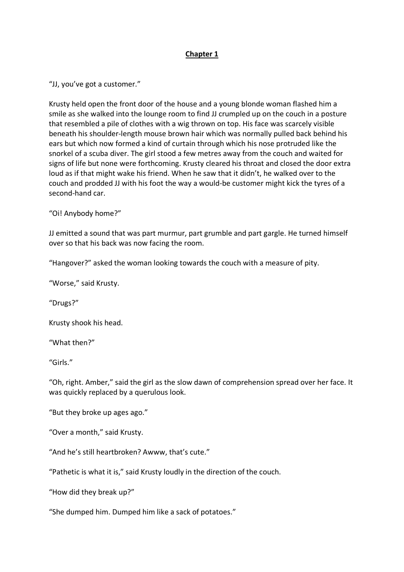## **Chapter 1**

"JJ, you've got a customer."

Krusty held open the front door of the house and a young blonde woman flashed him a smile as she walked into the lounge room to find JJ crumpled up on the couch in a posture that resembled a pile of clothes with a wig thrown on top. His face was scarcely visible beneath his shoulder-length mouse brown hair which was normally pulled back behind his ears but which now formed a kind of curtain through which his nose protruded like the snorkel of a scuba diver. The girl stood a few metres away from the couch and waited for signs of life but none were forthcoming. Krusty cleared his throat and closed the door extra loud as if that might wake his friend. When he saw that it didn't, he walked over to the couch and prodded JJ with his foot the way a would-be customer might kick the tyres of a second-hand car.

"Oi! Anybody home?"

JJ emitted a sound that was part murmur, part grumble and part gargle. He turned himself over so that his back was now facing the room.

"Hangover?" asked the woman looking towards the couch with a measure of pity.

"Worse," said Krusty.

"Drugs?"

Krusty shook his head.

"What then?"

"Girls."

"Oh, right. Amber," said the girl as the slow dawn of comprehension spread over her face. It was quickly replaced by a querulous look.

"But they broke up ages ago."

"Over a month," said Krusty.

"And he's still heartbroken? Awww, that's cute."

"Pathetic is what it is," said Krusty loudly in the direction of the couch.

"How did they break up?"

"She dumped him. Dumped him like a sack of potatoes."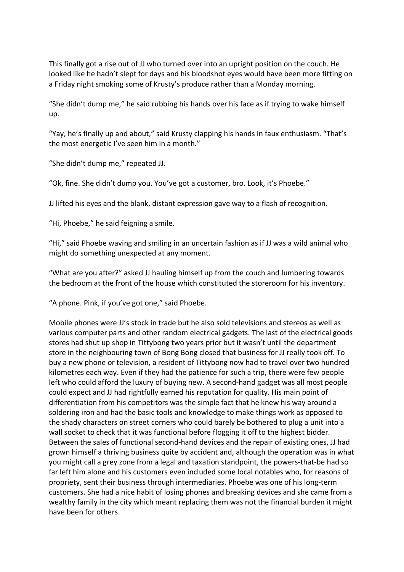This finally got a rise out of JJ who turned over into an upright position on the couch. He looked like he hadn't slept for days and his bloodshot eyes would have been more fitting on a Friday night smoking some of Krusty's produce rather than a Monday morning.

"She didn't dump me," he said rubbing his hands over his face as if trying to wake himself up.

"Yay, he's finally up and about," said Krusty clapping his hands in faux enthusiasm. "That's the most energetic I've seen him in a month."

"She didn't dump me," repeated JJ.

"Ok, fine. She didn't dump you. You've got a customer, bro. Look, it's Phoebe."

JJ lifted his eyes and the blank, distant expression gave way to a flash of recognition.

"Hi, Phoebe," he said feigning a smile.

"Hi," said Phoebe waving and smiling in an uncertain fashion as if JJ was a wild animal who might do something unexpected at any moment.

"What are you after?" asked JJ hauling himself up from the couch and lumbering towards the bedroom at the front of the house which constituted the storeroom for his inventory.

"A phone. Pink, if you've got one," said Phoebe.

Mobile phones were JJ's stock in trade but he also sold televisions and stereos as well as various computer parts and other random electrical gadgets. The last of the electrical goods stores had shut up shop in Tittybong two years prior but it wasn't until the department store in the neighbouring town of Bong Bong closed that business for JJ really took off. To buy a new phone or television, a resident of Tittybong now had to travel over two hundred kilometres each way. Even if they had the patience for such a trip, there were few people left who could afford the luxury of buying new. A second-hand gadget was all most people could expect and JJ had rightfully earned his reputation for quality. His main point of differentiation from his competitors was the simple fact that he knew his way around a soldering iron and had the basic tools and knowledge to make things work as opposed to the shady characters on street corners who could barely be bothered to plug a unit into a wall socket to check that it was functional before flogging it off to the highest bidder. Between the sales of functional second-hand devices and the repair of existing ones, JJ had grown himself a thriving business quite by accident and, although the operation was in what you might call a grey zone from a legal and taxation standpoint, the powers-that-be had so far left him alone and his customers even included some local notables who, for reasons of propriety, sent their business through intermediaries. Phoebe was one of his long-term customers. She had a nice habit of losing phones and breaking devices and she came from a wealthy family in the city which meant replacing them was not the financial burden it might have been for others.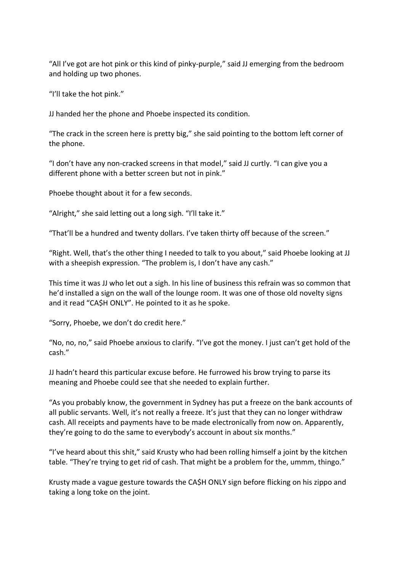"All I've got are hot pink or this kind of pinky-purple," said JJ emerging from the bedroom and holding up two phones.

"I'll take the hot pink."

JJ handed her the phone and Phoebe inspected its condition.

"The crack in the screen here is pretty big," she said pointing to the bottom left corner of the phone.

"I don't have any non-cracked screens in that model," said JJ curtly. "I can give you a different phone with a better screen but not in pink."

Phoebe thought about it for a few seconds.

"Alright," she said letting out a long sigh. "I'll take it."

"That'll be a hundred and twenty dollars. I've taken thirty off because of the screen."

"Right. Well, that's the other thing I needed to talk to you about," said Phoebe looking at JJ with a sheepish expression. "The problem is, I don't have any cash."

This time it was JJ who let out a sigh. In his line of business this refrain was so common that he'd installed a sign on the wall of the lounge room. It was one of those old novelty signs and it read "CA\$H ONLY". He pointed to it as he spoke.

"Sorry, Phoebe, we don't do credit here."

"No, no, no," said Phoebe anxious to clarify. "I've got the money. I just can't get hold of the cash."

JJ hadn't heard this particular excuse before. He furrowed his brow trying to parse its meaning and Phoebe could see that she needed to explain further.

"As you probably know, the government in Sydney has put a freeze on the bank accounts of all public servants. Well, it's not really a freeze. It's just that they can no longer withdraw cash. All receipts and payments have to be made electronically from now on. Apparently, they're going to do the same to everybody's account in about six months."

"I've heard about this shit," said Krusty who had been rolling himself a joint by the kitchen table. "They're trying to get rid of cash. That might be a problem for the, ummm, thingo."

Krusty made a vague gesture towards the CA\$H ONLY sign before flicking on his zippo and taking a long toke on the joint.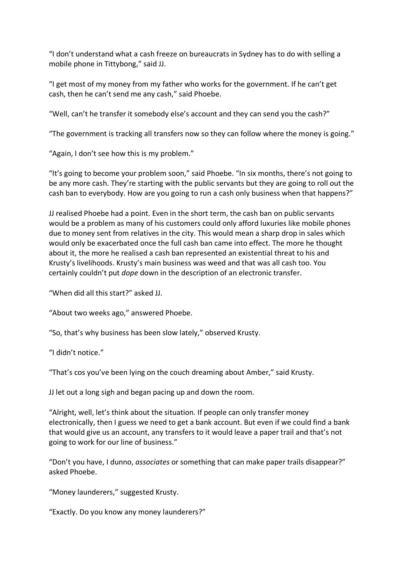"I don't understand what a cash freeze on bureaucrats in Sydney has to do with selling a mobile phone in Tittybong," said JJ.

"I get most of my money from my father who works for the government. If he can't get cash, then he can't send me any cash," said Phoebe.

"Well, can't he transfer it somebody else's account and they can send you the cash?"

"The government is tracking all transfers now so they can follow where the money is going."

"Again, I don't see how this is my problem."

"It's going to become your problem soon," said Phoebe. "In six months, there's not going to be any more cash. They're starting with the public servants but they are going to roll out the cash ban to everybody. How are you going to run a cash only business when that happens?"

JJ realised Phoebe had a point. Even in the short term, the cash ban on public servants would be a problem as many of his customers could only afford luxuries like mobile phones due to money sent from relatives in the city. This would mean a sharp drop in sales which would only be exacerbated once the full cash ban came into effect. The more he thought about it, the more he realised a cash ban represented an existential threat to his and Krusty's livelihoods. Krusty's main business was weed and that was all cash too. You certainly couldn't put *dope* down in the description of an electronic transfer.

"When did all this start?" asked JJ.

"About two weeks ago," answered Phoebe.

"So, that's why business has been slow lately," observed Krusty.

"I didn't notice."

"That's cos you've been lying on the couch dreaming about Amber," said Krusty.

JJ let out a long sigh and began pacing up and down the room.

"Alright, well, let's think about the situation. If people can only transfer money electronically, then I guess we need to get a bank account. But even if we could find a bank that would give us an account, any transfers to it would leave a paper trail and that's not going to work for our line of business."

"Don't you have, I dunno, *associates* or something that can make paper trails disappear?" asked Phoebe.

"Money launderers," suggested Krusty.

"Exactly. Do you know any money launderers?"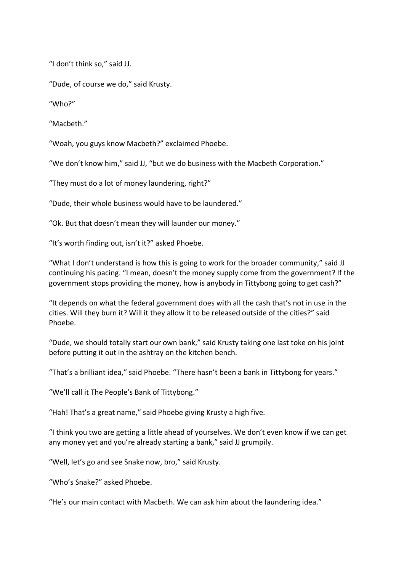"I don't think so," said JJ.

"Dude, of course we do," said Krusty.

"Who?"

"Macbeth."

"Woah, you guys know Macbeth?" exclaimed Phoebe.

"We don't know him," said JJ, "but we do business with the Macbeth Corporation."

"They must do a lot of money laundering, right?"

"Dude, their whole business would have to be laundered."

"Ok. But that doesn't mean they will launder our money."

"It's worth finding out, isn't it?" asked Phoebe.

"What I don't understand is how this is going to work for the broader community," said JJ continuing his pacing. "I mean, doesn't the money supply come from the government? If the government stops providing the money, how is anybody in Tittybong going to get cash?"

"It depends on what the federal government does with all the cash that's not in use in the cities. Will they burn it? Will it they allow it to be released outside of the cities?" said Phoebe.

"Dude, we should totally start our own bank," said Krusty taking one last toke on his joint before putting it out in the ashtray on the kitchen bench.

"That's a brilliant idea," said Phoebe. "There hasn't been a bank in Tittybong for years."

"We'll call it The People's Bank of Tittybong."

"Hah! That's a great name," said Phoebe giving Krusty a high five.

"I think you two are getting a little ahead of yourselves. We don't even know if we can get any money yet and you're already starting a bank," said JJ grumpily.

"Well, let's go and see Snake now, bro," said Krusty.

"Who's Snake?" asked Phoebe.

"He's our main contact with Macbeth. We can ask him about the laundering idea."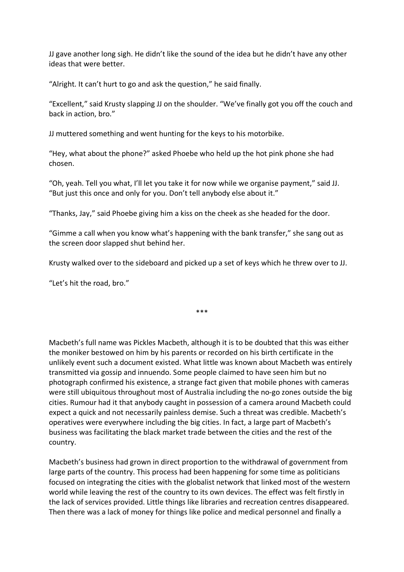JJ gave another long sigh. He didn't like the sound of the idea but he didn't have any other ideas that were better.

"Alright. It can't hurt to go and ask the question," he said finally.

"Excellent," said Krusty slapping JJ on the shoulder. "We've finally got you off the couch and back in action, bro."

JJ muttered something and went hunting for the keys to his motorbike.

"Hey, what about the phone?" asked Phoebe who held up the hot pink phone she had chosen.

"Oh, yeah. Tell you what, I'll let you take it for now while we organise payment," said JJ. "But just this once and only for you. Don't tell anybody else about it."

"Thanks, Jay," said Phoebe giving him a kiss on the cheek as she headed for the door.

"Gimme a call when you know what's happening with the bank transfer," she sang out as the screen door slapped shut behind her.

Krusty walked over to the sideboard and picked up a set of keys which he threw over to JJ.

\*\*\*

"Let's hit the road, bro."

Macbeth's full name was Pickles Macbeth, although it is to be doubted that this was either the moniker bestowed on him by his parents or recorded on his birth certificate in the unlikely event such a document existed. What little was known about Macbeth was entirely transmitted via gossip and innuendo. Some people claimed to have seen him but no photograph confirmed his existence, a strange fact given that mobile phones with cameras were still ubiquitous throughout most of Australia including the no-go zones outside the big cities. Rumour had it that anybody caught in possession of a camera around Macbeth could expect a quick and not necessarily painless demise. Such a threat was credible. Macbeth's operatives were everywhere including the big cities. In fact, a large part of Macbeth's business was facilitating the black market trade between the cities and the rest of the country.

Macbeth's business had grown in direct proportion to the withdrawal of government from large parts of the country. This process had been happening for some time as politicians focused on integrating the cities with the globalist network that linked most of the western world while leaving the rest of the country to its own devices. The effect was felt firstly in the lack of services provided. Little things like libraries and recreation centres disappeared. Then there was a lack of money for things like police and medical personnel and finally a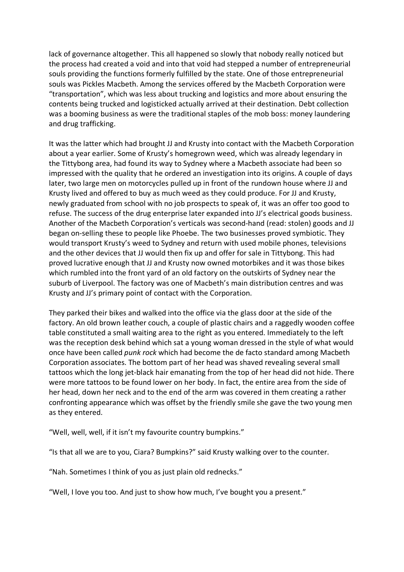lack of governance altogether. This all happened so slowly that nobody really noticed but the process had created a void and into that void had stepped a number of entrepreneurial souls providing the functions formerly fulfilled by the state. One of those entrepreneurial souls was Pickles Macbeth. Among the services offered by the Macbeth Corporation were "transportation", which was less about trucking and logistics and more about ensuring the contents being trucked and logisticked actually arrived at their destination. Debt collection was a booming business as were the traditional staples of the mob boss: money laundering and drug trafficking.

It was the latter which had brought JJ and Krusty into contact with the Macbeth Corporation about a year earlier. Some of Krusty's homegrown weed, which was already legendary in the Tittybong area, had found its way to Sydney where a Macbeth associate had been so impressed with the quality that he ordered an investigation into its origins. A couple of days later, two large men on motorcycles pulled up in front of the rundown house where JJ and Krusty lived and offered to buy as much weed as they could produce. For JJ and Krusty, newly graduated from school with no job prospects to speak of, it was an offer too good to refuse. The success of the drug enterprise later expanded into JJ's electrical goods business. Another of the Macbeth Corporation's verticals was second-hand (read: stolen) goods and JJ began on-selling these to people like Phoebe. The two businesses proved symbiotic. They would transport Krusty's weed to Sydney and return with used mobile phones, televisions and the other devices that JJ would then fix up and offer for sale in Tittybong. This had proved lucrative enough that JJ and Krusty now owned motorbikes and it was those bikes which rumbled into the front yard of an old factory on the outskirts of Sydney near the suburb of Liverpool. The factory was one of Macbeth's main distribution centres and was Krusty and JJ's primary point of contact with the Corporation.

They parked their bikes and walked into the office via the glass door at the side of the factory. An old brown leather couch, a couple of plastic chairs and a raggedly wooden coffee table constituted a small waiting area to the right as you entered. Immediately to the left was the reception desk behind which sat a young woman dressed in the style of what would once have been called *punk rock* which had become the de facto standard among Macbeth Corporation associates. The bottom part of her head was shaved revealing several small tattoos which the long jet-black hair emanating from the top of her head did not hide. There were more tattoos to be found lower on her body. In fact, the entire area from the side of her head, down her neck and to the end of the arm was covered in them creating a rather confronting appearance which was offset by the friendly smile she gave the two young men as they entered.

"Well, well, well, if it isn't my favourite country bumpkins."

"Is that all we are to you, Ciara? Bumpkins?" said Krusty walking over to the counter.

"Nah. Sometimes I think of you as just plain old rednecks."

"Well, I love you too. And just to show how much, I've bought you a present."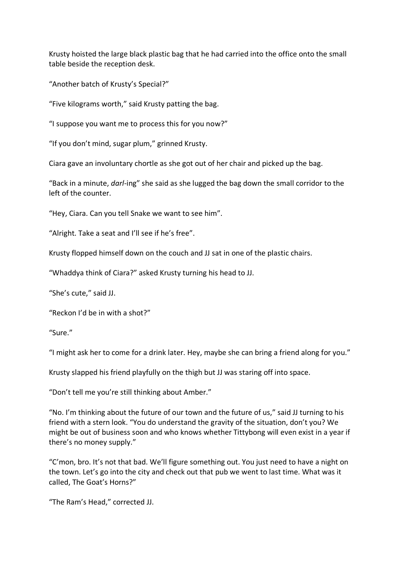Krusty hoisted the large black plastic bag that he had carried into the office onto the small table beside the reception desk.

"Another batch of Krusty's Special?"

"Five kilograms worth," said Krusty patting the bag.

"I suppose you want me to process this for you now?"

"If you don't mind, sugar plum," grinned Krusty.

Ciara gave an involuntary chortle as she got out of her chair and picked up the bag.

"Back in a minute, *darl*-ing" she said as she lugged the bag down the small corridor to the left of the counter.

"Hey, Ciara. Can you tell Snake we want to see him".

"Alright. Take a seat and I'll see if he's free".

Krusty flopped himself down on the couch and JJ sat in one of the plastic chairs.

"Whaddya think of Ciara?" asked Krusty turning his head to JJ.

"She's cute," said JJ.

"Reckon I'd be in with a shot?"

"Sure."

"I might ask her to come for a drink later. Hey, maybe she can bring a friend along for you."

Krusty slapped his friend playfully on the thigh but JJ was staring off into space.

"Don't tell me you're still thinking about Amber."

"No. I'm thinking about the future of our town and the future of us," said JJ turning to his friend with a stern look. "You do understand the gravity of the situation, don't you? We might be out of business soon and who knows whether Tittybong will even exist in a year if there's no money supply."

"C'mon, bro. It's not that bad. We'll figure something out. You just need to have a night on the town. Let's go into the city and check out that pub we went to last time. What was it called, The Goat's Horns?"

"The Ram's Head," corrected JJ.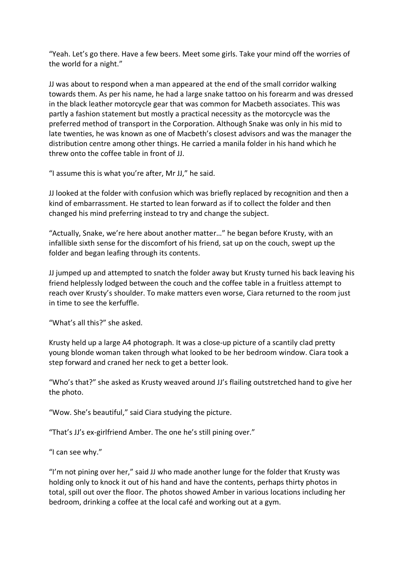"Yeah. Let's go there. Have a few beers. Meet some girls. Take your mind off the worries of the world for a night."

JJ was about to respond when a man appeared at the end of the small corridor walking towards them. As per his name, he had a large snake tattoo on his forearm and was dressed in the black leather motorcycle gear that was common for Macbeth associates. This was partly a fashion statement but mostly a practical necessity as the motorcycle was the preferred method of transport in the Corporation. Although Snake was only in his mid to late twenties, he was known as one of Macbeth's closest advisors and was the manager the distribution centre among other things. He carried a manila folder in his hand which he threw onto the coffee table in front of JJ.

"I assume this is what you're after, Mr JJ," he said.

JJ looked at the folder with confusion which was briefly replaced by recognition and then a kind of embarrassment. He started to lean forward as if to collect the folder and then changed his mind preferring instead to try and change the subject.

"Actually, Snake, we're here about another matter…" he began before Krusty, with an infallible sixth sense for the discomfort of his friend, sat up on the couch, swept up the folder and began leafing through its contents.

JJ jumped up and attempted to snatch the folder away but Krusty turned his back leaving his friend helplessly lodged between the couch and the coffee table in a fruitless attempt to reach over Krusty's shoulder. To make matters even worse, Ciara returned to the room just in time to see the kerfuffle.

"What's all this?" she asked.

Krusty held up a large A4 photograph. It was a close-up picture of a scantily clad pretty young blonde woman taken through what looked to be her bedroom window. Ciara took a step forward and craned her neck to get a better look.

"Who's that?" she asked as Krusty weaved around JJ's flailing outstretched hand to give her the photo.

"Wow. She's beautiful," said Ciara studying the picture.

"That's JJ's ex-girlfriend Amber. The one he's still pining over."

"I can see why."

"I'm not pining over her," said JJ who made another lunge for the folder that Krusty was holding only to knock it out of his hand and have the contents, perhaps thirty photos in total, spill out over the floor. The photos showed Amber in various locations including her bedroom, drinking a coffee at the local café and working out at a gym.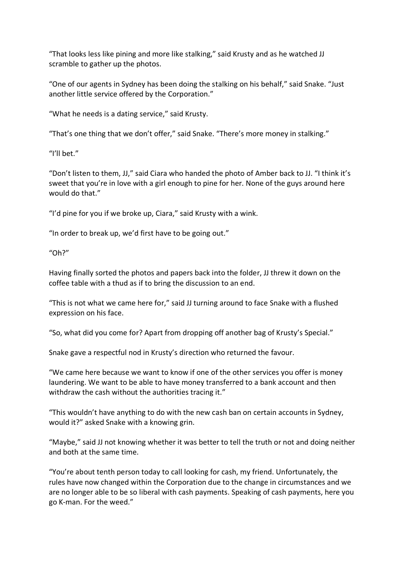"That looks less like pining and more like stalking," said Krusty and as he watched JJ scramble to gather up the photos.

"One of our agents in Sydney has been doing the stalking on his behalf," said Snake. "Just another little service offered by the Corporation."

"What he needs is a dating service," said Krusty.

"That's one thing that we don't offer," said Snake. "There's more money in stalking."

"I'll bet."

"Don't listen to them, JJ," said Ciara who handed the photo of Amber back to JJ. "I think it's sweet that you're in love with a girl enough to pine for her. None of the guys around here would do that."

"I'd pine for you if we broke up, Ciara," said Krusty with a wink.

"In order to break up, we'd first have to be going out."

"Oh?"

Having finally sorted the photos and papers back into the folder, JJ threw it down on the coffee table with a thud as if to bring the discussion to an end.

"This is not what we came here for," said JJ turning around to face Snake with a flushed expression on his face.

"So, what did you come for? Apart from dropping off another bag of Krusty's Special."

Snake gave a respectful nod in Krusty's direction who returned the favour.

"We came here because we want to know if one of the other services you offer is money laundering. We want to be able to have money transferred to a bank account and then withdraw the cash without the authorities tracing it."

"This wouldn't have anything to do with the new cash ban on certain accounts in Sydney, would it?" asked Snake with a knowing grin.

"Maybe," said JJ not knowing whether it was better to tell the truth or not and doing neither and both at the same time.

"You're about tenth person today to call looking for cash, my friend. Unfortunately, the rules have now changed within the Corporation due to the change in circumstances and we are no longer able to be so liberal with cash payments. Speaking of cash payments, here you go K-man. For the weed."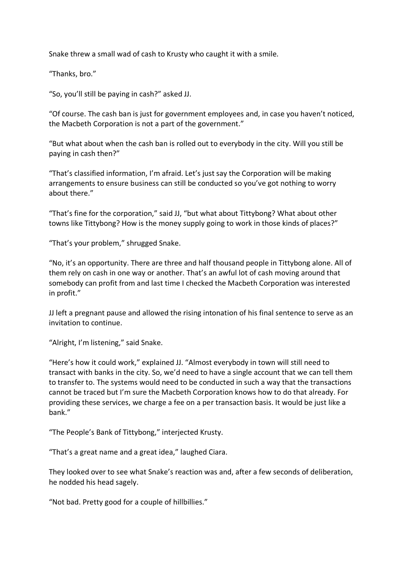Snake threw a small wad of cash to Krusty who caught it with a smile.

"Thanks, bro."

"So, you'll still be paying in cash?" asked JJ.

"Of course. The cash ban is just for government employees and, in case you haven't noticed, the Macbeth Corporation is not a part of the government."

"But what about when the cash ban is rolled out to everybody in the city. Will you still be paying in cash then?"

"That's classified information, I'm afraid. Let's just say the Corporation will be making arrangements to ensure business can still be conducted so you've got nothing to worry about there."

"That's fine for the corporation," said JJ, "but what about Tittybong? What about other towns like Tittybong? How is the money supply going to work in those kinds of places?"

"That's your problem," shrugged Snake.

"No, it's an opportunity. There are three and half thousand people in Tittybong alone. All of them rely on cash in one way or another. That's an awful lot of cash moving around that somebody can profit from and last time I checked the Macbeth Corporation was interested in profit."

JJ left a pregnant pause and allowed the rising intonation of his final sentence to serve as an invitation to continue.

"Alright, I'm listening," said Snake.

"Here's how it could work," explained JJ. "Almost everybody in town will still need to transact with banks in the city. So, we'd need to have a single account that we can tell them to transfer to. The systems would need to be conducted in such a way that the transactions cannot be traced but I'm sure the Macbeth Corporation knows how to do that already. For providing these services, we charge a fee on a per transaction basis. It would be just like a bank."

"The People's Bank of Tittybong," interjected Krusty.

"That's a great name and a great idea," laughed Ciara.

They looked over to see what Snake's reaction was and, after a few seconds of deliberation, he nodded his head sagely.

"Not bad. Pretty good for a couple of hillbillies."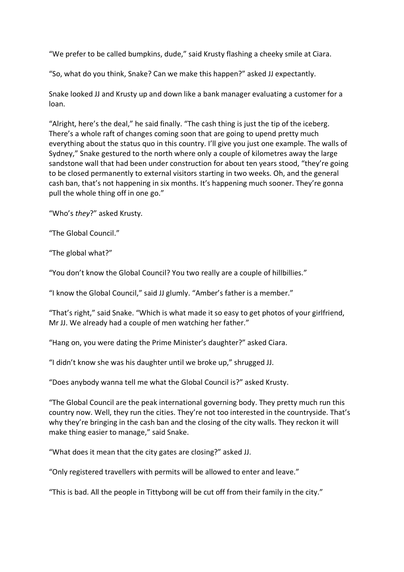"We prefer to be called bumpkins, dude," said Krusty flashing a cheeky smile at Ciara.

"So, what do you think, Snake? Can we make this happen?" asked JJ expectantly.

Snake looked JJ and Krusty up and down like a bank manager evaluating a customer for a loan.

"Alright, here's the deal," he said finally. "The cash thing is just the tip of the iceberg. There's a whole raft of changes coming soon that are going to upend pretty much everything about the status quo in this country. I'll give you just one example. The walls of Sydney," Snake gestured to the north where only a couple of kilometres away the large sandstone wall that had been under construction for about ten years stood, "they're going to be closed permanently to external visitors starting in two weeks. Oh, and the general cash ban, that's not happening in six months. It's happening much sooner. They're gonna pull the whole thing off in one go."

"Who's *they*?" asked Krusty.

"The Global Council."

"The global what?"

"You don't know the Global Council? You two really are a couple of hillbillies."

"I know the Global Council," said JJ glumly. "Amber's father is a member."

"That's right," said Snake. "Which is what made it so easy to get photos of your girlfriend, Mr JJ. We already had a couple of men watching her father."

"Hang on, you were dating the Prime Minister's daughter?" asked Ciara.

"I didn't know she was his daughter until we broke up," shrugged JJ.

"Does anybody wanna tell me what the Global Council is?" asked Krusty.

"The Global Council are the peak international governing body. They pretty much run this country now. Well, they run the cities. They're not too interested in the countryside. That's why they're bringing in the cash ban and the closing of the city walls. They reckon it will make thing easier to manage," said Snake.

"What does it mean that the city gates are closing?" asked JJ.

"Only registered travellers with permits will be allowed to enter and leave."

"This is bad. All the people in Tittybong will be cut off from their family in the city."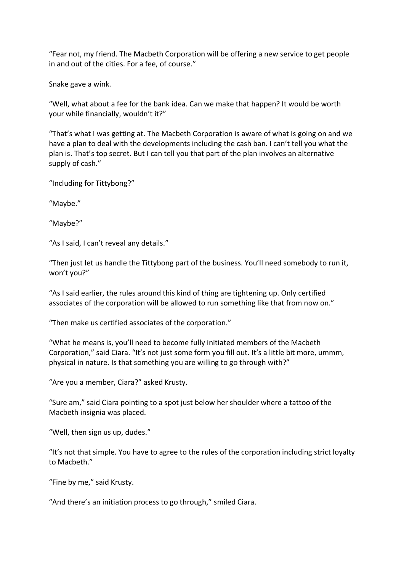"Fear not, my friend. The Macbeth Corporation will be offering a new service to get people in and out of the cities. For a fee, of course."

Snake gave a wink.

"Well, what about a fee for the bank idea. Can we make that happen? It would be worth your while financially, wouldn't it?"

"That's what I was getting at. The Macbeth Corporation is aware of what is going on and we have a plan to deal with the developments including the cash ban. I can't tell you what the plan is. That's top secret. But I can tell you that part of the plan involves an alternative supply of cash."

"Including for Tittybong?"

"Maybe."

"Maybe?"

"As I said, I can't reveal any details."

"Then just let us handle the Tittybong part of the business. You'll need somebody to run it, won't you?"

"As I said earlier, the rules around this kind of thing are tightening up. Only certified associates of the corporation will be allowed to run something like that from now on."

"Then make us certified associates of the corporation."

"What he means is, you'll need to become fully initiated members of the Macbeth Corporation," said Ciara. "It's not just some form you fill out. It's a little bit more, ummm, physical in nature. Is that something you are willing to go through with?"

"Are you a member, Ciara?" asked Krusty.

"Sure am," said Ciara pointing to a spot just below her shoulder where a tattoo of the Macbeth insignia was placed.

"Well, then sign us up, dudes."

"It's not that simple. You have to agree to the rules of the corporation including strict loyalty to Macbeth."

"Fine by me," said Krusty.

"And there's an initiation process to go through," smiled Ciara.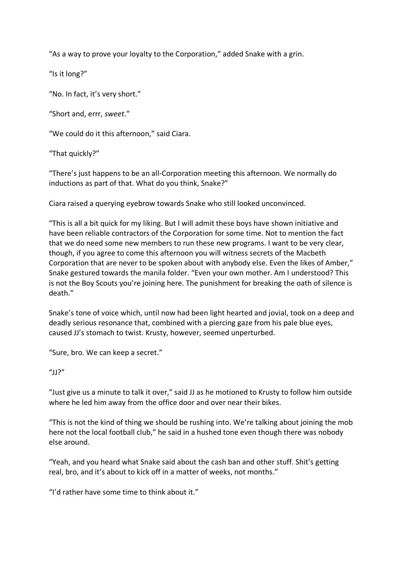"As a way to prove your loyalty to the Corporation," added Snake with a grin.

"Is it long?"

"No. In fact, it's very short."

"Short and, errr, *sweet*."

"We could do it this afternoon," said Ciara.

"That quickly?"

"There's just happens to be an all-Corporation meeting this afternoon. We normally do inductions as part of that. What do you think, Snake?"

Ciara raised a querying eyebrow towards Snake who still looked unconvinced.

"This is all a bit quick for my liking. But I will admit these boys have shown initiative and have been reliable contractors of the Corporation for some time. Not to mention the fact that we do need some new members to run these new programs. I want to be very clear, though, if you agree to come this afternoon you will witness secrets of the Macbeth Corporation that are never to be spoken about with anybody else. Even the likes of Amber," Snake gestured towards the manila folder. "Even your own mother. Am I understood? This is not the Boy Scouts you're joining here. The punishment for breaking the oath of silence is death."

Snake's tone of voice which, until now had been light hearted and jovial, took on a deep and deadly serious resonance that, combined with a piercing gaze from his pale blue eyes, caused JJ's stomach to twist. Krusty, however, seemed unperturbed.

"Sure, bro. We can keep a secret."

## "JJ?"

"Just give us a minute to talk it over," said JJ as he motioned to Krusty to follow him outside where he led him away from the office door and over near their bikes.

"This is not the kind of thing we should be rushing into. We're talking about joining the mob here not the local football club," he said in a hushed tone even though there was nobody else around.

"Yeah, and you heard what Snake said about the cash ban and other stuff. Shit's getting real, bro, and it's about to kick off in a matter of weeks, not months."

"I'd rather have some time to think about it."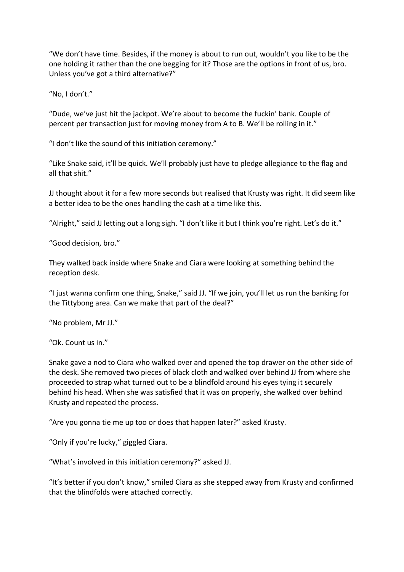"We don't have time. Besides, if the money is about to run out, wouldn't you like to be the one holding it rather than the one begging for it? Those are the options in front of us, bro. Unless you've got a third alternative?"

"No, I don't."

"Dude, we've just hit the jackpot. We're about to become the fuckin' bank. Couple of percent per transaction just for moving money from A to B. We'll be rolling in it."

"I don't like the sound of this initiation ceremony."

"Like Snake said, it'll be quick. We'll probably just have to pledge allegiance to the flag and all that shit."

JJ thought about it for a few more seconds but realised that Krusty was right. It did seem like a better idea to be the ones handling the cash at a time like this.

"Alright," said JJ letting out a long sigh. "I don't like it but I think you're right. Let's do it."

"Good decision, bro."

They walked back inside where Snake and Ciara were looking at something behind the reception desk.

"I just wanna confirm one thing, Snake," said JJ. "If we join, you'll let us run the banking for the Tittybong area. Can we make that part of the deal?"

"No problem, Mr JJ."

"Ok. Count us in."

Snake gave a nod to Ciara who walked over and opened the top drawer on the other side of the desk. She removed two pieces of black cloth and walked over behind JJ from where she proceeded to strap what turned out to be a blindfold around his eyes tying it securely behind his head. When she was satisfied that it was on properly, she walked over behind Krusty and repeated the process.

"Are you gonna tie me up too or does that happen later?" asked Krusty.

"Only if you're lucky," giggled Ciara.

"What's involved in this initiation ceremony?" asked JJ.

"It's better if you don't know," smiled Ciara as she stepped away from Krusty and confirmed that the blindfolds were attached correctly.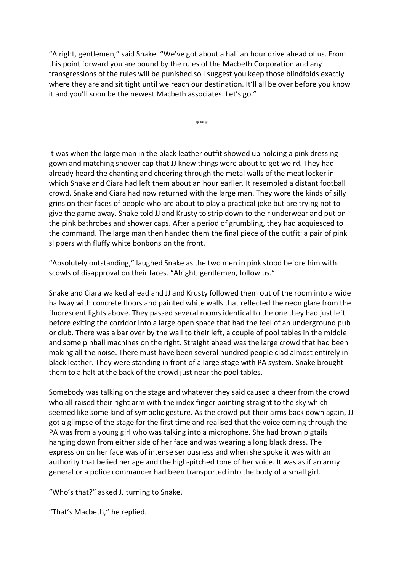"Alright, gentlemen," said Snake. "We've got about a half an hour drive ahead of us. From this point forward you are bound by the rules of the Macbeth Corporation and any transgressions of the rules will be punished so I suggest you keep those blindfolds exactly where they are and sit tight until we reach our destination. It'll all be over before you know it and you'll soon be the newest Macbeth associates. Let's go."

\*\*\*

It was when the large man in the black leather outfit showed up holding a pink dressing gown and matching shower cap that JJ knew things were about to get weird. They had already heard the chanting and cheering through the metal walls of the meat locker in which Snake and Ciara had left them about an hour earlier. It resembled a distant football crowd. Snake and Ciara had now returned with the large man. They wore the kinds of silly grins on their faces of people who are about to play a practical joke but are trying not to give the game away. Snake told JJ and Krusty to strip down to their underwear and put on the pink bathrobes and shower caps. After a period of grumbling, they had acquiesced to the command. The large man then handed them the final piece of the outfit: a pair of pink slippers with fluffy white bonbons on the front.

"Absolutely outstanding," laughed Snake as the two men in pink stood before him with scowls of disapproval on their faces. "Alright, gentlemen, follow us."

Snake and Ciara walked ahead and JJ and Krusty followed them out of the room into a wide hallway with concrete floors and painted white walls that reflected the neon glare from the fluorescent lights above. They passed several rooms identical to the one they had just left before exiting the corridor into a large open space that had the feel of an underground pub or club. There was a bar over by the wall to their left, a couple of pool tables in the middle and some pinball machines on the right. Straight ahead was the large crowd that had been making all the noise. There must have been several hundred people clad almost entirely in black leather. They were standing in front of a large stage with PA system. Snake brought them to a halt at the back of the crowd just near the pool tables.

Somebody was talking on the stage and whatever they said caused a cheer from the crowd who all raised their right arm with the index finger pointing straight to the sky which seemed like some kind of symbolic gesture. As the crowd put their arms back down again, JJ got a glimpse of the stage for the first time and realised that the voice coming through the PA was from a young girl who was talking into a microphone. She had brown pigtails hanging down from either side of her face and was wearing a long black dress. The expression on her face was of intense seriousness and when she spoke it was with an authority that belied her age and the high-pitched tone of her voice. It was as if an army general or a police commander had been transported into the body of a small girl.

"Who's that?" asked JJ turning to Snake.

"That's Macbeth," he replied.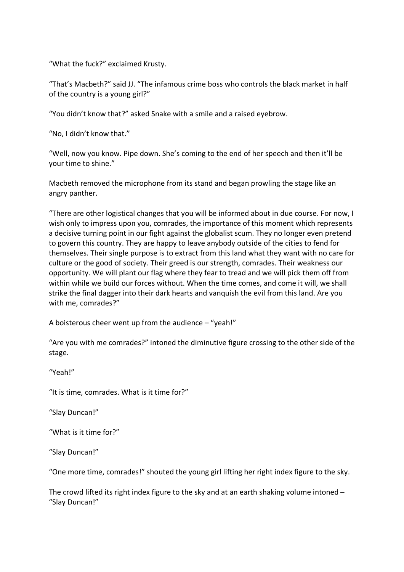"What the fuck?" exclaimed Krusty.

"That's Macbeth?" said JJ. "The infamous crime boss who controls the black market in half of the country is a young girl?"

"You didn't know that?" asked Snake with a smile and a raised eyebrow.

"No, I didn't know that."

"Well, now you know. Pipe down. She's coming to the end of her speech and then it'll be your time to shine."

Macbeth removed the microphone from its stand and began prowling the stage like an angry panther.

"There are other logistical changes that you will be informed about in due course. For now, I wish only to impress upon you, comrades, the importance of this moment which represents a decisive turning point in our fight against the globalist scum. They no longer even pretend to govern this country. They are happy to leave anybody outside of the cities to fend for themselves. Their single purpose is to extract from this land what they want with no care for culture or the good of society. Their greed is our strength, comrades. Their weakness our opportunity. We will plant our flag where they fear to tread and we will pick them off from within while we build our forces without. When the time comes, and come it will, we shall strike the final dagger into their dark hearts and vanquish the evil from this land. Are you with me, comrades?"

A boisterous cheer went up from the audience – "yeah!"

"Are you with me comrades?" intoned the diminutive figure crossing to the other side of the stage.

"Yeah!"

"It is time, comrades. What is it time for?"

"Slay Duncan!"

"What is it time for?"

"Slay Duncan!"

"One more time, comrades!" shouted the young girl lifting her right index figure to the sky.

The crowd lifted its right index figure to the sky and at an earth shaking volume intoned – "Slay Duncan!"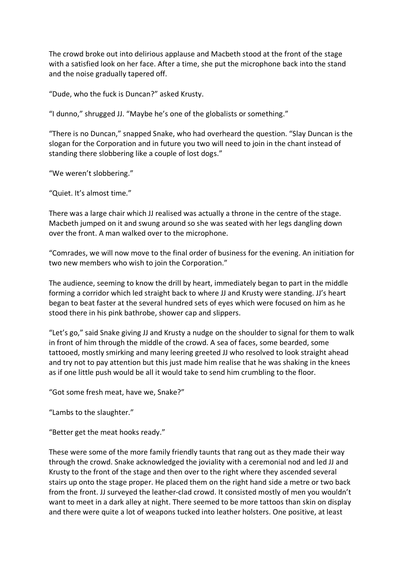The crowd broke out into delirious applause and Macbeth stood at the front of the stage with a satisfied look on her face. After a time, she put the microphone back into the stand and the noise gradually tapered off.

"Dude, who the fuck is Duncan?" asked Krusty.

"I dunno," shrugged JJ. "Maybe he's one of the globalists or something."

"There is no Duncan," snapped Snake, who had overheard the question. "Slay Duncan is the slogan for the Corporation and in future you two will need to join in the chant instead of standing there slobbering like a couple of lost dogs."

"We weren't slobbering."

"Quiet. It's almost time."

There was a large chair which JJ realised was actually a throne in the centre of the stage. Macbeth jumped on it and swung around so she was seated with her legs dangling down over the front. A man walked over to the microphone.

"Comrades, we will now move to the final order of business for the evening. An initiation for two new members who wish to join the Corporation."

The audience, seeming to know the drill by heart, immediately began to part in the middle forming a corridor which led straight back to where JJ and Krusty were standing. JJ's heart began to beat faster at the several hundred sets of eyes which were focused on him as he stood there in his pink bathrobe, shower cap and slippers.

"Let's go," said Snake giving JJ and Krusty a nudge on the shoulder to signal for them to walk in front of him through the middle of the crowd. A sea of faces, some bearded, some tattooed, mostly smirking and many leering greeted JJ who resolved to look straight ahead and try not to pay attention but this just made him realise that he was shaking in the knees as if one little push would be all it would take to send him crumbling to the floor.

"Got some fresh meat, have we, Snake?"

"Lambs to the slaughter."

"Better get the meat hooks ready."

These were some of the more family friendly taunts that rang out as they made their way through the crowd. Snake acknowledged the joviality with a ceremonial nod and led JJ and Krusty to the front of the stage and then over to the right where they ascended several stairs up onto the stage proper. He placed them on the right hand side a metre or two back from the front. JJ surveyed the leather-clad crowd. It consisted mostly of men you wouldn't want to meet in a dark alley at night. There seemed to be more tattoos than skin on display and there were quite a lot of weapons tucked into leather holsters. One positive, at least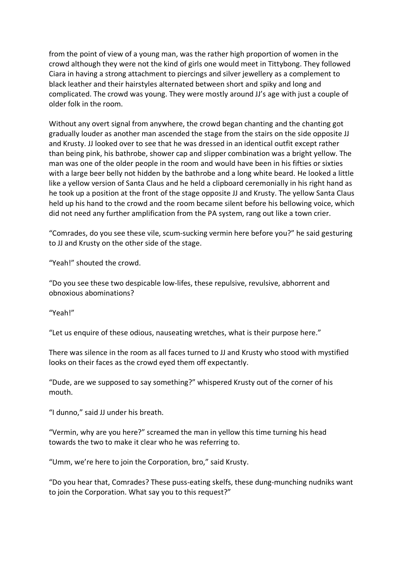from the point of view of a young man, was the rather high proportion of women in the crowd although they were not the kind of girls one would meet in Tittybong. They followed Ciara in having a strong attachment to piercings and silver jewellery as a complement to black leather and their hairstyles alternated between short and spiky and long and complicated. The crowd was young. They were mostly around JJ's age with just a couple of older folk in the room.

Without any overt signal from anywhere, the crowd began chanting and the chanting got gradually louder as another man ascended the stage from the stairs on the side opposite JJ and Krusty. JJ looked over to see that he was dressed in an identical outfit except rather than being pink, his bathrobe, shower cap and slipper combination was a bright yellow. The man was one of the older people in the room and would have been in his fifties or sixties with a large beer belly not hidden by the bathrobe and a long white beard. He looked a little like a yellow version of Santa Claus and he held a clipboard ceremonially in his right hand as he took up a position at the front of the stage opposite JJ and Krusty. The yellow Santa Claus held up his hand to the crowd and the room became silent before his bellowing voice, which did not need any further amplification from the PA system, rang out like a town crier.

"Comrades, do you see these vile, scum-sucking vermin here before you?" he said gesturing to JJ and Krusty on the other side of the stage.

"Yeah!" shouted the crowd.

"Do you see these two despicable low-lifes, these repulsive, revulsive, abhorrent and obnoxious abominations?

"Yeah!"

"Let us enquire of these odious, nauseating wretches, what is their purpose here."

There was silence in the room as all faces turned to JJ and Krusty who stood with mystified looks on their faces as the crowd eyed them off expectantly.

"Dude, are we supposed to say something?" whispered Krusty out of the corner of his mouth.

"I dunno," said JJ under his breath.

"Vermin, why are you here?" screamed the man in yellow this time turning his head towards the two to make it clear who he was referring to.

"Umm, we're here to join the Corporation, bro," said Krusty.

"Do you hear that, Comrades? These puss-eating skelfs, these dung-munching nudniks want to join the Corporation. What say you to this request?"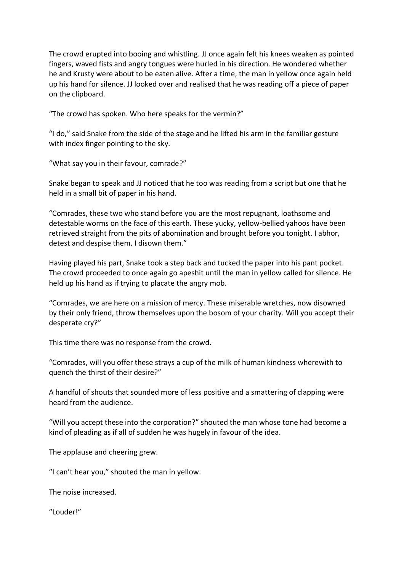The crowd erupted into booing and whistling. JJ once again felt his knees weaken as pointed fingers, waved fists and angry tongues were hurled in his direction. He wondered whether he and Krusty were about to be eaten alive. After a time, the man in yellow once again held up his hand for silence. JJ looked over and realised that he was reading off a piece of paper on the clipboard.

"The crowd has spoken. Who here speaks for the vermin?"

"I do," said Snake from the side of the stage and he lifted his arm in the familiar gesture with index finger pointing to the sky.

"What say you in their favour, comrade?"

Snake began to speak and JJ noticed that he too was reading from a script but one that he held in a small bit of paper in his hand.

"Comrades, these two who stand before you are the most repugnant, loathsome and detestable worms on the face of this earth. These yucky, yellow-bellied yahoos have been retrieved straight from the pits of abomination and brought before you tonight. I abhor, detest and despise them. I disown them."

Having played his part, Snake took a step back and tucked the paper into his pant pocket. The crowd proceeded to once again go apeshit until the man in yellow called for silence. He held up his hand as if trying to placate the angry mob.

"Comrades, we are here on a mission of mercy. These miserable wretches, now disowned by their only friend, throw themselves upon the bosom of your charity. Will you accept their desperate cry?"

This time there was no response from the crowd.

"Comrades, will you offer these strays a cup of the milk of human kindness wherewith to quench the thirst of their desire?"

A handful of shouts that sounded more of less positive and a smattering of clapping were heard from the audience.

"Will you accept these into the corporation?" shouted the man whose tone had become a kind of pleading as if all of sudden he was hugely in favour of the idea.

The applause and cheering grew.

"I can't hear you," shouted the man in yellow.

The noise increased.

"Louder!"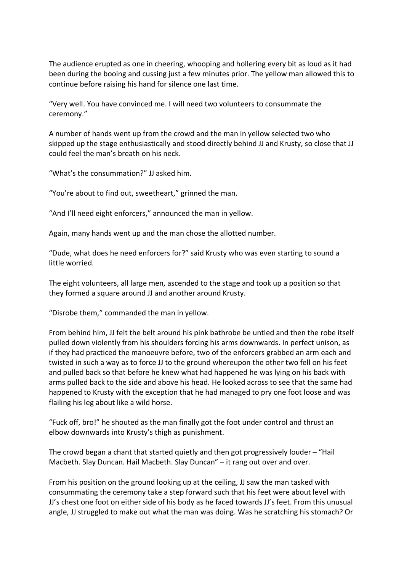The audience erupted as one in cheering, whooping and hollering every bit as loud as it had been during the booing and cussing just a few minutes prior. The yellow man allowed this to continue before raising his hand for silence one last time.

"Very well. You have convinced me. I will need two volunteers to consummate the ceremony."

A number of hands went up from the crowd and the man in yellow selected two who skipped up the stage enthusiastically and stood directly behind JJ and Krusty, so close that JJ could feel the man's breath on his neck.

"What's the consummation?" JJ asked him.

"You're about to find out, sweetheart," grinned the man.

"And I'll need eight enforcers," announced the man in yellow.

Again, many hands went up and the man chose the allotted number.

"Dude, what does he need enforcers for?" said Krusty who was even starting to sound a little worried.

The eight volunteers, all large men, ascended to the stage and took up a position so that they formed a square around JJ and another around Krusty.

"Disrobe them," commanded the man in yellow.

From behind him, JJ felt the belt around his pink bathrobe be untied and then the robe itself pulled down violently from his shoulders forcing his arms downwards. In perfect unison, as if they had practiced the manoeuvre before, two of the enforcers grabbed an arm each and twisted in such a way as to force JJ to the ground whereupon the other two fell on his feet and pulled back so that before he knew what had happened he was lying on his back with arms pulled back to the side and above his head. He looked across to see that the same had happened to Krusty with the exception that he had managed to pry one foot loose and was flailing his leg about like a wild horse.

"Fuck off, bro!" he shouted as the man finally got the foot under control and thrust an elbow downwards into Krusty's thigh as punishment.

The crowd began a chant that started quietly and then got progressively louder – "Hail Macbeth. Slay Duncan. Hail Macbeth. Slay Duncan" – it rang out over and over.

From his position on the ground looking up at the ceiling, JJ saw the man tasked with consummating the ceremony take a step forward such that his feet were about level with JJ's chest one foot on either side of his body as he faced towards JJ's feet. From this unusual angle, JJ struggled to make out what the man was doing. Was he scratching his stomach? Or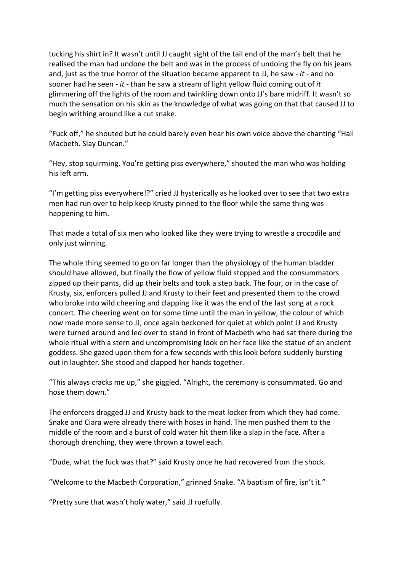tucking his shirt in? It wasn't until JJ caught sight of the tail end of the man's belt that he realised the man had undone the belt and was in the process of undoing the fly on his jeans and, just as the true horror of the situation became apparent to JJ, he saw - *it* - and no sooner had he seen - *it* - than he saw a stream of light yellow fluid coming out of *it* glimmering off the lights of the room and twinkling down onto JJ's bare midriff. It wasn't so much the sensation on his skin as the knowledge of what was going on that that caused JJ to begin writhing around like a cut snake.

"Fuck off," he shouted but he could barely even hear his own voice above the chanting "Hail Macbeth. Slay Duncan."

"Hey, stop squirming. You're getting piss everywhere," shouted the man who was holding his left arm.

"I'm getting piss everywhere!?" cried JJ hysterically as he looked over to see that two extra men had run over to help keep Krusty pinned to the floor while the same thing was happening to him.

That made a total of six men who looked like they were trying to wrestle a crocodile and only just winning.

The whole thing seemed to go on far longer than the physiology of the human bladder should have allowed, but finally the flow of yellow fluid stopped and the consummators zipped up their pants, did up their belts and took a step back. The four, or in the case of Krusty, six, enforcers pulled JJ and Krusty to their feet and presented them to the crowd who broke into wild cheering and clapping like it was the end of the last song at a rock concert. The cheering went on for some time until the man in yellow, the colour of which now made more sense to JJ, once again beckoned for quiet at which point JJ and Krusty were turned around and led over to stand in front of Macbeth who had sat there during the whole ritual with a stern and uncompromising look on her face like the statue of an ancient goddess. She gazed upon them for a few seconds with this look before suddenly bursting out in laughter. She stood and clapped her hands together.

"This always cracks me up," she giggled. "Alright, the ceremony is consummated. Go and hose them down."

The enforcers dragged JJ and Krusty back to the meat locker from which they had come. Snake and Ciara were already there with hoses in hand. The men pushed them to the middle of the room and a burst of cold water hit them like a slap in the face. After a thorough drenching, they were thrown a towel each.

"Dude, what the fuck was that?" said Krusty once he had recovered from the shock.

"Welcome to the Macbeth Corporation," grinned Snake. "A baptism of fire, isn't it."

"Pretty sure that wasn't holy water," said JJ ruefully.